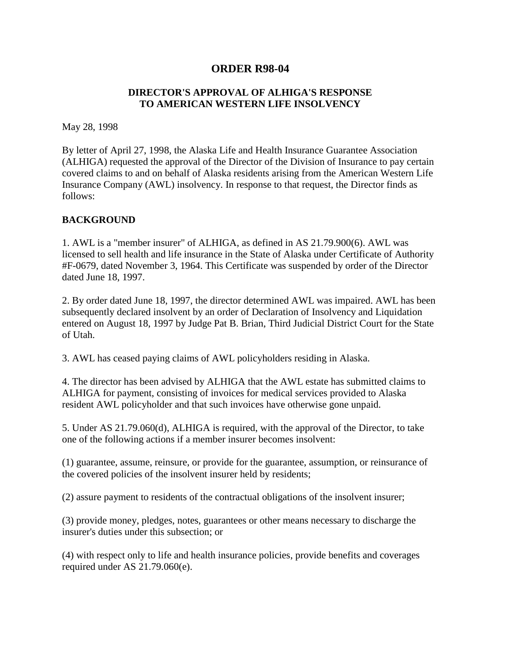## **ORDER R98-04**

## **DIRECTOR'S APPROVAL OF ALHIGA'S RESPONSE TO AMERICAN WESTERN LIFE INSOLVENCY**

May 28, 1998

By letter of April 27, 1998, the Alaska Life and Health Insurance Guarantee Association (ALHIGA) requested the approval of the Director of the Division of Insurance to pay certain covered claims to and on behalf of Alaska residents arising from the American Western Life Insurance Company (AWL) insolvency. In response to that request, the Director finds as follows:

## **BACKGROUND**

1. AWL is a "member insurer" of ALHIGA, as defined in AS 21.79.900(6). AWL was licensed to sell health and life insurance in the State of Alaska under Certificate of Authority #F-0679, dated November 3, 1964. This Certificate was suspended by order of the Director dated June 18, 1997.

2. By order dated June 18, 1997, the director determined AWL was impaired. AWL has been subsequently declared insolvent by an order of Declaration of Insolvency and Liquidation entered on August 18, 1997 by Judge Pat B. Brian, Third Judicial District Court for the State of Utah.

3. AWL has ceased paying claims of AWL policyholders residing in Alaska.

4. The director has been advised by ALHIGA that the AWL estate has submitted claims to ALHIGA for payment, consisting of invoices for medical services provided to Alaska resident AWL policyholder and that such invoices have otherwise gone unpaid.

5. Under AS 21.79.060(d), ALHIGA is required, with the approval of the Director, to take one of the following actions if a member insurer becomes insolvent:

(1) guarantee, assume, reinsure, or provide for the guarantee, assumption, or reinsurance of the covered policies of the insolvent insurer held by residents;

(2) assure payment to residents of the contractual obligations of the insolvent insurer;

(3) provide money, pledges, notes, guarantees or other means necessary to discharge the insurer's duties under this subsection; or

(4) with respect only to life and health insurance policies, provide benefits and coverages required under AS 21.79.060(e).